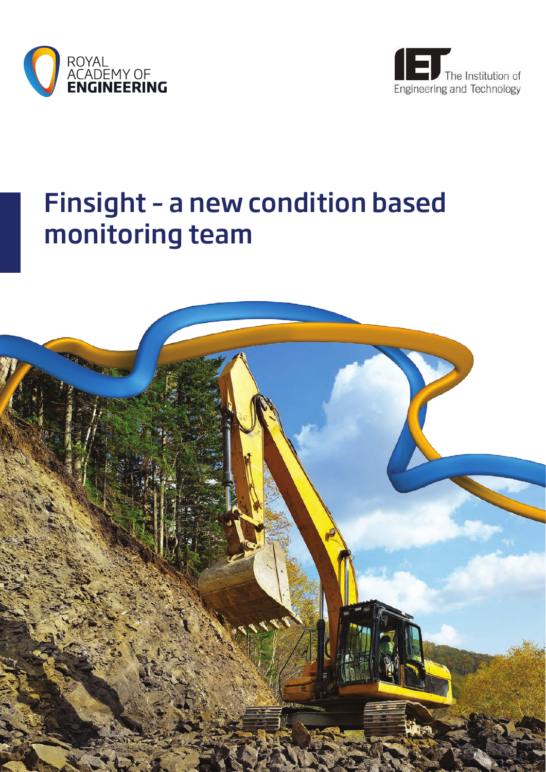



# Finsight – a new condition based monitoring team

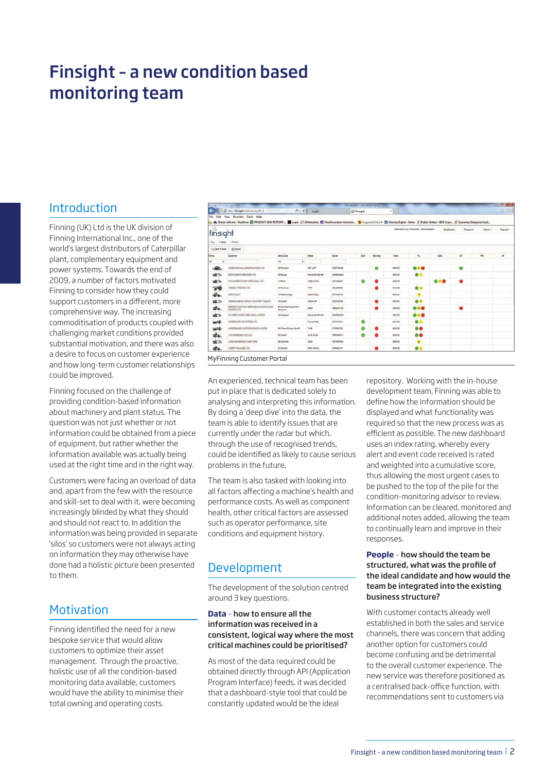# Finsight – a new condition based monitoring team

## Introduction

Finning (UK) Ltd is the UK division of Finning International Inc., one of the world's largest distributors of Caterpillar plant, complementary equipment and power systems. Towards the end of 2009, a number of factors motivated Finning to consider how they could support customers in a different, more comprehensive way. The increasing commoditisation of products coupled with challenging market conditions provided substantial motivation, and there was also a desire to focus on customer experience and how long-term customer relationships could be improved.

Finning focused on the challenge of providing condition-based information about machinery and plant status. The question was not just whether or not information could be obtained from a piece of equipment, but rather whether the information available was actually being used at the right time and in the right way.

Customers were facing an overload of data and, apart from the few with the resource and skill-set to deal with it, were becoming increasingly blinded by what they should and should not react to. In addition the information was being provided in separate 'silos' so customers were not always acting on information they may otherwise have done had a holistic picture been presented to them.

# **Motivation**

Finning identified the need for a new bespoke service that would allow customers to optimize their asset management. Through the proactive, holistic use of all the condition-based monitoring data available, customers would have the ability to minimise their total owning and operating costs.



An experienced, technical team has been put in place that is dedicated solely to analysing and interpreting this information. By doing a 'deep dive' into the data, the team is able to identify issues that are currently under the radar but which, through the use of recognised trends, could be identified as likely to cause serious problems in the future.

The team is also tasked with looking into all factors affecting a machine's health and performance costs. As well as component health, other critical factors are assessed such as operator performance, site conditions and equipment history.

# Development

The development of the solution centred around 3 key questions.

#### **Data** – how to ensure all the information was received in a consistent, logical way where the most critical machines could be prioritised?

As most of the data required could be obtained directly through API (Application Program Interface) feeds, it was decided that a dashboard-style tool that could be constantly updated would be the ideal

repository. Working with the in-house development team, Finning was able to define how the information should be displayed and what functionality was required so that the new process was as efficient as possible. The new dashboard uses an index rating, whereby every alert and event code received is rated and weighted into a cumulative score, thus allowing the most urgent cases to be pushed to the top of the pile for the condition-monitoring advisor to review. Information can be cleared, monitored and additional notes added, allowing the team to continually learn and improve in their responses.

#### **People** – how should the team be structured, what was the profile of the ideal candidate and how would the team be integrated into the existing business structure?

With customer contacts already well established in both the sales and service channels, there was concern that adding another option for customers could become confusing and be detrimental to the overall customer experience. The new service was therefore positioned as a centralised back-office function, with recommendations sent to customers via